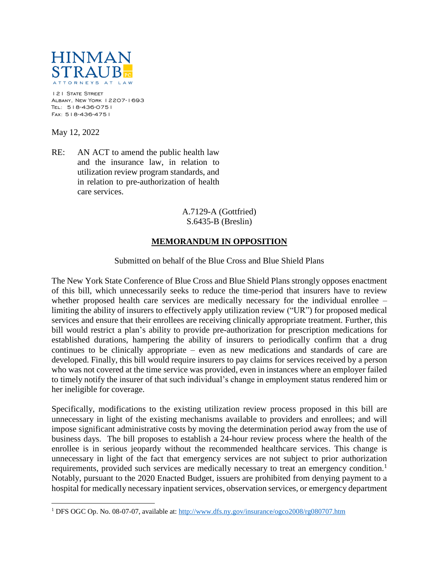

121 STATE STREET Albany, New York 12207-1693 Tel: 518-436-0751 Fax: 518-436-4751

May 12, 2022

 $\overline{a}$ 

RE: AN ACT to amend the public health law and the insurance law, in relation to utilization review program standards, and in relation to pre-authorization of health care services.

## A.7129-A (Gottfried) S.6435-B (Breslin)

## **MEMORANDUM IN OPPOSITION**

## Submitted on behalf of the Blue Cross and Blue Shield Plans

The New York State Conference of Blue Cross and Blue Shield Plans strongly opposes enactment of this bill, which unnecessarily seeks to reduce the time-period that insurers have to review whether proposed health care services are medically necessary for the individual enrollee – limiting the ability of insurers to effectively apply utilization review ("UR") for proposed medical services and ensure that their enrollees are receiving clinically appropriate treatment. Further, this bill would restrict a plan's ability to provide pre-authorization for prescription medications for established durations, hampering the ability of insurers to periodically confirm that a drug continues to be clinically appropriate – even as new medications and standards of care are developed. Finally, this bill would require insurers to pay claims for services received by a person who was not covered at the time service was provided, even in instances where an employer failed to timely notify the insurer of that such individual's change in employment status rendered him or her ineligible for coverage.

Specifically, modifications to the existing utilization review process proposed in this bill are unnecessary in light of the existing mechanisms available to providers and enrollees; and will impose significant administrative costs by moving the determination period away from the use of business days. The bill proposes to establish a 24-hour review process where the health of the enrollee is in serious jeopardy without the recommended healthcare services. This change is unnecessary in light of the fact that emergency services are not subject to prior authorization requirements, provided such services are medically necessary to treat an emergency condition.<sup>1</sup> Notably, pursuant to the 2020 Enacted Budget, issuers are prohibited from denying payment to a hospital for medically necessary inpatient services, observation services, or emergency department

<sup>1</sup> DFS OGC Op. No. 08-07-07, available at:<http://www.dfs.ny.gov/insurance/ogco2008/rg080707.htm>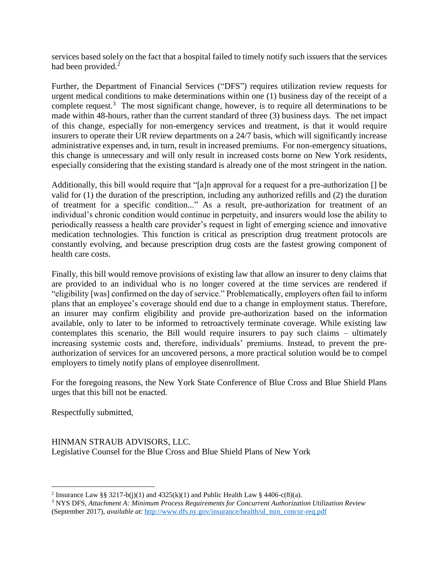services based solely on the fact that a hospital failed to timely notify such issuers that the services had been provided.<sup>2</sup>

Further, the Department of Financial Services ("DFS") requires utilization review requests for urgent medical conditions to make determinations within one (1) business day of the receipt of a complete request.<sup>3</sup> The most significant change, however, is to require all determinations to be made within 48-hours, rather than the current standard of three (3) business days. The net impact of this change, especially for non-emergency services and treatment, is that it would require insurers to operate their UR review departments on a 24/7 basis, which will significantly increase administrative expenses and, in turn, result in increased premiums. For non-emergency situations, this change is unnecessary and will only result in increased costs borne on New York residents, especially considering that the existing standard is already one of the most stringent in the nation.

Additionally, this bill would require that "[a]n approval for a request for a pre-authorization [] be valid for (1) the duration of the prescription, including any authorized refills and (2) the duration of treatment for a specific condition..." As a result, pre-authorization for treatment of an individual's chronic condition would continue in perpetuity, and insurers would lose the ability to periodically reassess a health care provider's request in light of emerging science and innovative medication technologies. This function is critical as prescription drug treatment protocols are constantly evolving, and because prescription drug costs are the fastest growing component of health care costs.

Finally, this bill would remove provisions of existing law that allow an insurer to deny claims that are provided to an individual who is no longer covered at the time services are rendered if "eligibility [was] confirmed on the day of service." Problematically, employers often fail to inform plans that an employee's coverage should end due to a change in employment status. Therefore, an insurer may confirm eligibility and provide pre-authorization based on the information available, only to later to be informed to retroactively terminate coverage. While existing law contemplates this scenario, the Bill would require insurers to pay such claims – ultimately increasing systemic costs and, therefore, individuals' premiums. Instead, to prevent the preauthorization of services for an uncovered persons, a more practical solution would be to compel employers to timely notify plans of employee disenrollment.

For the foregoing reasons, the New York State Conference of Blue Cross and Blue Shield Plans urges that this bill not be enacted.

Respectfully submitted,

 $\overline{a}$ 

HINMAN STRAUB ADVISORS, LLC. Legislative Counsel for the Blue Cross and Blue Shield Plans of New York

<sup>&</sup>lt;sup>2</sup> Insurance Law §§ 3217-b(j)(1) and 4325(k)(1) and Public Health Law § 4406-c(8)(a).

<sup>3</sup> NYS DFS, *Attachment A: Minimum Process Requirements for Concurrent Authorization Utilization Review* (September 2017), *available at*[: http://www.dfs.ny.gov/insurance/health/ul\\_min\\_concur-req.pdf](http://www.dfs.ny.gov/insurance/health/ul_min_concur-req.pdf)